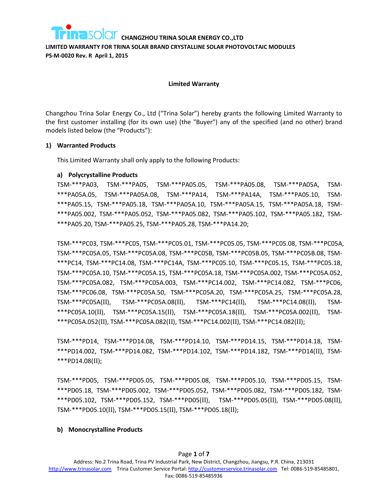**LIMITED WARRANTY FOR TRINA SOLAR BRAND CRYSTALLINE SOLAR PHOTOVOLTAIC MODULES PS-M-0020 Rev. R April 1, 2015**

#### **Limited Warranty**

Changzhou Trina Solar Energy Co., Ltd ("Trina Solar") hereby grants the following Limited Warranty to the first customer installing (for its own use) (the "Buyer") any of the specified (and no other) brand models listed below (the "Products"):

#### **1) Warranted Products**

This Limited Warranty shall only apply to the following Products:

#### **a) Polycrystalline Products**

TSM-\*\*\*PA03, TSM-\*\*\*PA05, TSM-\*\*\*PA05.05, TSM-\*\*\*PA05.08, TSM-\*\*\*PA05A, TSM- \*\*\*PA05A.05, TSM-\*\*\*PA05A.08, TSM-\*\*\*PA14, TSM-\*\*\*PA14A, TSM-\*\*\*PA05.10, TSM- \*\*\*PA05.15, TSM-\*\*\*PA05.18, TSM-\*\*\*PA05A.10, TSM-\*\*\*PA05A.15, TSM-\*\*\*PA05A.18, TSM- \*\*\*PA05.002, TSM-\*\*\*PA05.052, TSM-\*\*\*PA05.082, TSM-\*\*\*PA05.102, TSM-\*\*\*PA05.182, TSM- \*\*\*PA05.20, TSM-\*\*\*PA05.25, TSM-\*\*\*PA05.28, TSM-\*\*\*PA14.20;

TSM-\*\*\*PC03, TSM-\*\*\*PC05, TSM-\*\*\*PC05.01, TSM-\*\*\*PC05.05, TSM-\*\*\*PC05.08, TSM-\*\*\*PC05A, TSM-\*\*\*PC05A.05, TSM-\*\*\*PC05A.08, TSM-\*\*\*PC05B, TSM-\*\*\*PC05B.05, TSM-\*\*\*PC05B.08, TSM- \*\*\*PC14, TSM-\*\*\*PC14.08, TSM-\*\*\*PC14A, TSM-\*\*\*PC05.10, TSM-\*\*\*PC05.15, TSM-\*\*\*PC05.18, TSM-\*\*\*PC05A.10, TSM-\*\*\*PC05A.15, TSM-\*\*\*PC05A.18, TSM-\*\*\*PC05A.002, TSM-\*\*\*PC05A.052, TSM-\*\*\*PC05A.082, TSM-\*\*\*PC05A.003, TSM-\*\*\*PC14.002, TSM-\*\*\*PC14.082, TSM-\*\*\*PC06, TSM-\*\*\*PC06.08, TSM-\*\*\*PC05A.50, TSM-\*\*\*PC05A.20, TSM-\*\*\*PC05A.25, TSM-\*\*\*PC05A.28, TSM-\*\*\*PC05A(II), TSM-\*\*\*PC05A.08(II), TSM-\*\*\*PC14(II), TSM-\*\*\*PC14.08(II), TSM- \*\*\*PC05A.10(II), TSM-\*\*\*PC05A.15(II), TSM-\*\*\*PC05A.18(II), TSM-\*\*\*PC05A.002(II), TSM- \*\*\*PC05A.052(II), TSM-\*\*\*PC05A.082(II), TSM-\*\*\*PC14.002(II), TSM-\*\*\*PC14.082(II);

TSM-\*\*\*PD14, TSM-\*\*\*PD14.08, TSM-\*\*\*PD14.10, TSM-\*\*\*PD14.15, TSM-\*\*\*PD14.18, TSM- \*\*\*PD14.002, TSM-\*\*\*PD14.082, TSM-\*\*\*PD14.102, TSM-\*\*\*PD14.182, TSM-\*\*\*PD14(II), TSM- \*\*\*PD14.08(II);

TSM-\*\*\*PD05, TSM-\*\*\*PD05.05, TSM-\*\*\*PD05.08, TSM-\*\*\*PD05.10, TSM-\*\*\*PD05.15, TSM- \*\*\*PD05.18, TSM-\*\*\*PD05.002, TSM-\*\*\*PD05.052, TSM-\*\*\*PD05.082, TSM-\*\*\*PD05.182, TSM- \*\*\*PD05.102, TSM-\*\*\*PD05.152, TSM-\*\*\*PD05(II), TSM-\*\*\*PD05.05(II), TSM-\*\*\*PD05.08(II), TSM-\*\*\*PD05.10(II), TSM-\*\*\*PD05.15(II), TSM-\*\*\*PD05.18(II);

## **b) Monocrystalline Products**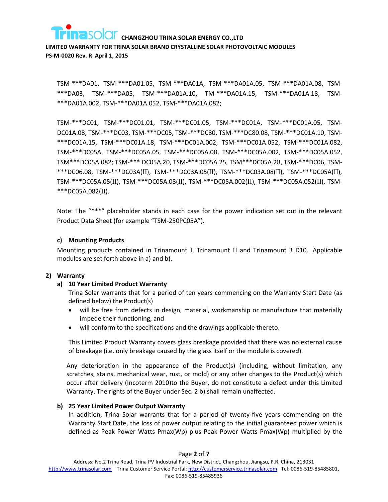

**LIMITED WARRANTY FOR TRINA SOLAR BRAND CRYSTALLINE SOLAR PHOTOVOLTAIC MODULES PS-M-0020 Rev. R April 1, 2015**

TSM-\*\*\*DA01, TSM-\*\*\*DA01.05, TSM-\*\*\*DA01A, TSM-\*\*\*DA01A.05, TSM-\*\*\*DA01A.08, TSM- \*\*\*DA03, TSM-\*\*\*DA05, TSM-\*\*\*DA01A.10, TM-\*\*\*DA01A.15, TSM-\*\*\*DA01A.18, TSM- \*\*\*DA01A.002, TSM-\*\*\*DA01A.052, TSM-\*\*\*DA01A.082;

TSM-\*\*\*DC01, TSM-\*\*\*DC01.01, TSM-\*\*\*DC01.05, TSM-\*\*\*DC01A, TSM-\*\*\*DC01A.05, TSM-DC01A.08, TSM-\*\*\*DC03, TSM-\*\*\*DC05, TSM-\*\*\*DC80, TSM-\*\*\*DC80.08, TSM-\*\*\*DC01A.10, TSM- \*\*\*DC01A.15, TSM-\*\*\*DC01A.18, TSM-\*\*\*DC01A.002, TSM-\*\*\*DC01A.052, TSM-\*\*\*DC01A.082, TSM-\*\*\*DC05A, TSM-\*\*\*DC05A.05, TSM-\*\*\*DC05A.08, TSM-\*\*\*DC05A.002, TSM-\*\*\*DC05A.052, TSM\*\*\*DC05A.082; TSM-\*\*\* DC05A.20, TSM-\*\*\*DC05A.25, TSM\*\*\*DC05A.28, TSM-\*\*\*DC06, TSM- \*\*\*DC06.08, TSM-\*\*\*DC03A(II), TSM-\*\*\*DC03A.05(II), TSM-\*\*\*DC03A.08(II), TSM-\*\*\*DC05A(II), TSM-\*\*\*DC05A.05(II), TSM-\*\*\*DC05A.08(II), TSM-\*\*\*DC05A.002(II), TSM-\*\*\*DC05A.052(II), TSM- \*\*\*DC05A.082(II).

Note: The "\*\*\*" placeholder stands in each case for the power indication set out in the relevant Product Data Sheet (for example "TSM-250PC05A").

## **c) Mounting Products**

Mounting products contained in Trinamount I, Trinamount II and Trinamount 3 D10. Applicable modules are set forth above in a) and b).

## **2) Warranty**

# **a) 10 Year Limited Product Warranty**

Trina Solar warrants that for a period of ten years commencing on the Warranty Start Date (as defined below) the Product(s)

- will be free from defects in design, material, workmanship or manufacture that materially impede their functioning, and
- will conform to the specifications and the drawings applicable thereto.

This Limited Product Warranty covers glass breakage provided that there was no external cause of breakage (i.e. only breakage caused by the glass itself or the module is covered).

Any deterioration in the appearance of the Product(s) (including, without limitation, any scratches, stains, mechanical wear, rust, or mold) or any other changes to the Product(s) which occur after delivery (Incoterm 2010)to the Buyer, do not constitute a defect under this Limited Warranty. The rights of the Buyer under Sec. 2 b) shall remain unaffected.

## **b) 25 Year Limited Power Output Warranty**

In addition, Trina Solar warrants that for a period of twenty-five years commencing on the Warranty Start Date, the loss of power output relating to the initial guaranteed power which is defined as Peak Power Watts Pmax(Wp) plus Peak Power Watts Pmax(Wp) multiplied by the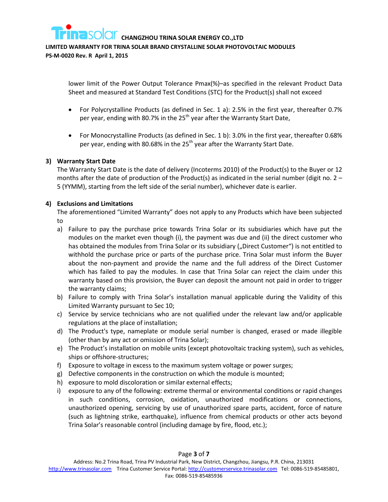**LIMITED WARRANTY FOR TRINA SOLAR BRAND CRYSTALLINE SOLAR PHOTOVOLTAIC MODULES** 

**PS-M-0020 Rev. R April 1, 2015**

lower limit of the Power Output Tolerance Pmax(%)–as specified in the relevant Product Data Sheet and measured at Standard Test Conditions (STC) for the Product(s) shall not exceed

- For Polycrystalline Products (as defined in Sec. 1 a): 2.5% in the first year, thereafter 0.7% per year, ending with 80.7% in the  $25<sup>th</sup>$  year after the Warranty Start Date,
- For Monocrystalline Products (as defined in Sec. 1 b): 3.0% in the first year, thereafter 0.68% per year, ending with 80.68% in the 25<sup>th</sup> year after the Warranty Start Date.

## **3) Warranty Start Date**

The Warranty Start Date is the date of delivery (Incoterms 2010) of the Product(s) to the Buyer or 12 months after the date of production of the Product(s) as indicated in the serial number (digit no.  $2 -$ 5 (YYMM), starting from the left side of the serial number), whichever date is earlier.

## **4) Exclusions and Limitations**

The aforementioned "Limited Warranty" does not apply to any Products which have been subjected to

- a) Failure to pay the purchase price towards Trina Solar or its subsidiaries which have put the modules on the market even though (i), the payment was due and (ii) the direct customer who has obtained the modules from Trina Solar or its subsidiary ("Direct Customer") is not entitled to withhold the purchase price or parts of the purchase price. Trina Solar must inform the Buyer about the non-payment and provide the name and the full address of the Direct Customer which has failed to pay the modules. In case that Trina Solar can reject the claim under this warranty based on this provision, the Buyer can deposit the amount not paid in order to trigger the warranty claims;
- b) Failure to comply with Trina Solar's installation manual applicable during the Validity of this Limited Warranty pursuant to Sec 10;
- c) Service by service technicians who are not qualified under the relevant law and/or applicable regulations at the place of installation;
- d) The Product's type, nameplate or module serial number is changed, erased or made illegible (other than by any act or omission of Trina Solar);
- e) The Product's installation on mobile units (except photovoltaic tracking system), such as vehicles, ships or offshore-structures;
- f) Exposure to voltage in excess to the maximum system voltage or power surges;
- g) Defective components in the construction on which the module is mounted;
- h) exposure to mold discoloration or similar external effects;
- i) exposure to any of the following: extreme thermal or environmental conditions or rapid changes in such conditions, corrosion, oxidation, unauthorized modifications or connections, unauthorized opening, servicing by use of unauthorized spare parts, accident, force of nature (such as lightning strike, earthquake), influence from chemical products or other acts beyond Trina Solar's reasonable control (including damage by fire, flood, etc.);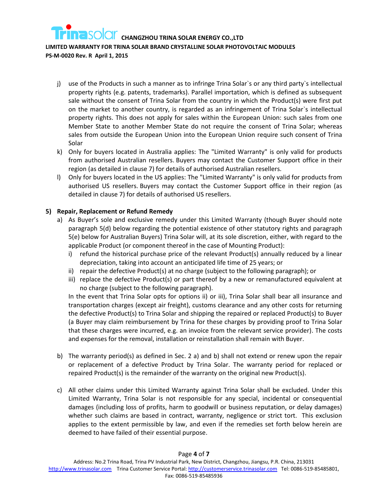# **LIMITED WARRANTY FOR TRINA SOLAR BRAND CRYSTALLINE SOLAR PHOTOVOLTAIC MODULES**

**PS-M-0020 Rev. R April 1, 2015**

- j) use of the Products in such a manner as to infringe Trina Solar`s or any third party`s intellectual property rights (e.g. patents, trademarks). Parallel importation, which is defined as subsequent sale without the consent of Trina Solar from the country in which the Product(s) were first put on the market to another country, is regarded as an infringement of Trina Solar`s intellectual property rights. This does not apply for sales within the European Union: such sales from one Member State to another Member State do not require the consent of Trina Solar; whereas sales from outside the European Union into the European Union require such consent of Trina Solar
- k) Only for buyers located in Australia applies: The "Limited Warranty" is only valid for products from authorised Australian resellers. Buyers may contact the Customer Support office in their region (as detailed in clause 7) for details of authorised Australian resellers.
- l) Only for buyers located in the US applies: The "Limited Warranty" is only valid for products from authorised US resellers. Buyers may contact the Customer Support office in their region (as detailed in clause 7) for details of authorised US resellers.

## **5) Repair, Replacement or Refund Remedy**

- a) As Buyer's sole and exclusive remedy under this Limited Warranty (though Buyer should note paragraph 5(d) below regarding the potential existence of other statutory rights and paragraph 5(e) below for Australian Buyers) Trina Solar will, at its sole discretion, either, with regard to the applicable Product (or component thereof in the case of Mounting Product):
	- i) refund the historical purchase price of the relevant Product(s) annually reduced by a linear depreciation, taking into account an anticipated life time of 25 years; or
	- ii) repair the defective Product(s) at no charge (subject to the following paragraph); or
	- iii) replace the defective Product(s) or part thereof by a new or remanufactured equivalent at no charge (subject to the following paragraph).

<span id="page-3-1"></span><span id="page-3-0"></span>In the event that Trina Solar opts for options [ii\)](#page-3-0) or [iii\),](#page-3-1) Trina Solar shall bear all insurance and transportation charges (except air freight), customs clearance and any other costs for returning the defective Product(s) to Trina Solar and shipping the repaired or replaced Product(s) to Buyer (a Buyer may claim reimbursement by Trina for these charges by providing proof to Trina Solar that these charges were incurred, e.g. an invoice from the relevant service provider). The costs and expenses for the removal, installation or reinstallation shall remain with Buyer.

- b) The warranty period(s) as defined in Sec. 2 a) and b) shall not extend or renew upon the repair or replacement of a defective Product by Trina Solar. The warranty period for replaced or repaired Product(s) is the remainder of the warranty on the original new Product(s).
- c) All other claims under this Limited Warranty against Trina Solar shall be excluded. Under this Limited Warranty, Trina Solar is not responsible for any special, incidental or consequential damages (including loss of profits, harm to goodwill or business reputation, or delay damages) whether such claims are based in contract, warranty, negligence or strict tort. This exclusion applies to the extent permissible by law, and even if the remedies set forth below herein are deemed to have failed of their essential purpose.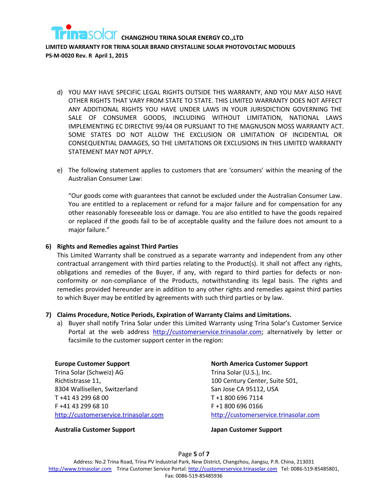

- d) YOU MAY HAVE SPECIFIC LEGAL RIGHTS OUTSIDE THIS WARRANTY, AND YOU MAY ALSO HAVE OTHER RIGHTS THAT VARY FROM STATE TO STATE. THIS LIMITED WARRANTY DOES NOT AFFECT ANY ADDITIONAL RIGHTS YOU HAVE UNDER LAWS IN YOUR JURISDICTION GOVERNING THE SALE OF CONSUMER GOODS, INCLUDING WITHOUT LIMITATION, NATIONAL LAWS IMPLEMENTING EC DIRECTIVE 99/44 OR PURSUANT TO THE MAGNUSON MOSS WARRANTY ACT. SOME STATES DO NOT ALLOW THE EXCLUSION OR LIMITATION OF INCIDENTIAL OR CONSEQUENTIAL DAMAGES, SO THE LIMITATIONS OR EXCLUSIONS IN THIS LIMITED WARRANTY STATEMENT MAY NOT APPLY.
- e) The following statement applies to customers that are 'consumers' within the meaning of the Australian Consumer Law:

"Our goods come with guarantees that cannot be excluded under the Australian Consumer Law. You are entitled to a replacement or refund for a major failure and for compensation for any other reasonably foreseeable loss or damage. You are also entitled to have the goods repaired or replaced if the goods fail to be of acceptable quality and the failure does not amount to a major failure."

#### **6) Rights and Remedies against Third Parties**

This Limited Warranty shall be construed as a separate warranty and independent from any other contractual arrangement with third parties relating to the Product(s). It shall not affect any rights, obligations and remedies of the Buyer, if any, with regard to third parties for defects or nonconformity or non-compliance of the Products, notwithstanding its legal basis. The rights and remedies provided hereunder are in addition to any other rights and remedies against third parties to which Buyer may be entitled by agreements with such third parties or by law.

## **7) Claims Procedure, Notice Periods, Expiration of Warranty Claims and Limitations.**

a) Buyer shall notify Trina Solar under this Limited Warranty using Trina Solar's Customer Service Portal at the web address [http://customerservice.trinasolar.com;](http://customerservice.trinasolar.com/) alternatively by letter or facsimile to the customer support center in the region:

**Europe Customer Support** Trina Solar (Schweiz) AG Richtistrasse 11, 8304 Wallisellen, Switzerland T +41 43 299 68 00 F +41 43 299 68 10 [http://customerservice.trinasolar.com](http://customerservice.trinasolar.com/)

#### **North America Customer Support**

Trina Solar (U.S.), Inc. 100 Century Center, Suite 501, San Jose CA 95112, USA T +1 800 696 7114 F +1 800 696 0166 [http://customerservice.trinasolar.com](http://customerservice.trinasolar.com/)

#### **Australia Customer Support Japan Customer Support**

Page **5** of **7**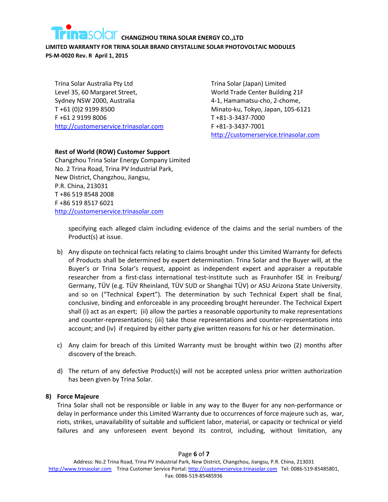**LIMITED WARRANTY FOR TRINA SOLAR BRAND CRYSTALLINE SOLAR PHOTOVOLTAIC MODULES PS-M-0020 Rev. R April 1, 2015**

Trina Solar Australia Pty Ltd Level 35, 60 Margaret Street, Sydney NSW 2000, Australia T +61 (0)2 9199 8500 F +61 2 9199 8006 [http://customerservice.trinasolar.com](http://customerservice.trinasolar.com/) Trina Solar (Japan) Limited World Trade Center Building 21F 4-1, Hamamatsu-cho, 2-chome, Minato-ku, Tokyo, Japan, 105-6121 T +81-3-3437-7000 F +81-3-3437-7001 [http://customerservice.trinasolar.com](http://customerservice.trinasolar.com/)

# **Rest of World (ROW) Customer Support**

Changzhou Trina Solar Energy Company Limited No. 2 Trina Road, Trina PV Industrial Park, New District, Changzhou, Jiangsu, P.R. China, 213031 T +86 519 8548 2008 F +86 519 8517 6021 [http://customerservice.trinasolar.com](http://customerservice.trinasolar.com/)

> specifying each alleged claim including evidence of the claims and the serial numbers of the Product(s) at issue.

- b) Any dispute on technical facts relating to claims brought under this Limited Warranty for defects of Products shall be determined by expert determination. Trina Solar and the Buyer will, at the Buyer's or Trina Solar's request, appoint as independent expert and appraiser a reputable researcher from a first-class international test-institute such as Fraunhofer ISE in Freiburg/ Germany, TÜV (e.g. TÜV Rheinland, TÜV SUD or Shanghai TÜV) or ASU Arizona State University, and so on ("Technical Expert"). The determination by such Technical Expert shall be final, conclusive, binding and enforceable in any proceeding brought hereunder. The Technical Expert shall (i) act as an expert; (ii) allow the parties a reasonable opportunity to make representations and counter-representations; (iii) take those representations and counter-representations into account; and (iv) if required by either party give written reasons for his or her determination.
- c) Any claim for breach of this Limited Warranty must be brought within two (2) months after discovery of the breach.
- d) The return of any defective Product(s) will not be accepted unless prior written authorization has been given by Trina Solar.

# **8) Force Majeure**

Trina Solar shall not be responsible or liable in any way to the Buyer for any non-performance or delay in performance under this Limited Warranty due to occurrences of force majeure such as, war, riots, strikes, unavailability of suitable and sufficient labor, material, or capacity or technical or yield failures and any unforeseen event beyond its control, including, without limitation, any